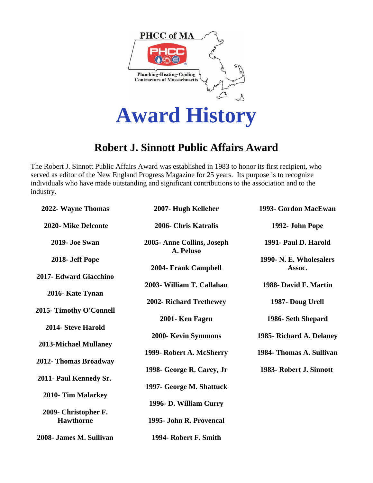

## **Robert J. Sinnott Public Affairs Award**

The Robert J. Sinnott Public Affairs Award was established in 1983 to honor its first recipient, who served as editor of the New England Progress Magazine for 25 years. Its purpose is to recognize individuals who have made outstanding and significant contributions to the association and to the industry.

| 2022- Wayne Thomas           | 2007- Hugh Kelleher                     | 1993- Gordon MacEwan              |
|------------------------------|-----------------------------------------|-----------------------------------|
| 2020- Mike Delconte          | 2006- Chris Katralis                    | 1992- John Pope                   |
| 2019- Joe Swan               | 2005- Anne Collins, Joseph<br>A. Peluso | 1991- Paul D. Harold              |
| 2018- Jeff Pope              | 2004- Frank Campbell                    | 1990- N. E. Wholesalers<br>Assoc. |
| 2017- Edward Giacchino       | 2003- William T. Callahan               | 1988- David F. Martin             |
| 2016- Kate Tynan             | 2002- Richard Trethewey                 | 1987- Doug Urell                  |
| 2015- Timothy O'Connell      | 2001- Ken Fagen                         | 1986- Seth Shepard                |
| 2014- Steve Harold           | 2000- Kevin Symmons                     | 1985- Richard A. Delaney          |
| <b>2013-Michael Mullaney</b> | 1999- Robert A. McSherry                | 1984- Thomas A. Sullivan          |
| 2012- Thomas Broadway        | 1998- George R. Carey, Jr               | 1983- Robert J. Sinnott           |
| 2011- Paul Kennedy Sr.       | 1997- George M. Shattuck                |                                   |
| 2010- Tim Malarkey           | 1996- D. William Curry                  |                                   |
| 2009- Christopher F.         |                                         |                                   |
| <b>Hawthorne</b>             | 1995- John R. Provencal                 |                                   |
| 2008- James M. Sullivan      | 1994- Robert F. Smith                   |                                   |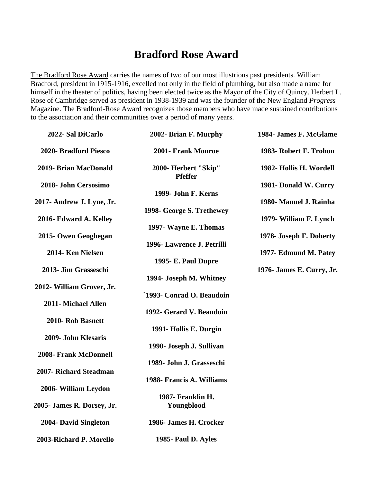## **Bradford Rose Award**

The Bradford Rose Award carries the names of two of our most illustrious past presidents. William Bradford, president in 1915-1916, excelled not only in the field of plumbing, but also made a name for himself in the theater of politics, having been elected twice as the Mayor of the City of Quincy. Herbert L. Rose of Cambridge served as president in 1938-1939 and was the founder of the New England *Progress* Magazine. The Bradford-Rose Award recognizes those members who have made sustained contributions to the association and their communities over a period of many years.

| 2022- Sal DiCarlo            | 2002- Brian F. Murphy                  | 1984- James F. McGlame    |
|------------------------------|----------------------------------------|---------------------------|
| 2020- Bradford Piesco        | 2001- Frank Monroe                     | 1983- Robert F. Trohon    |
| 2019- Brian MacDonald        | 2000- Herbert "Skip"<br><b>Pfeffer</b> | 1982- Hollis H. Wordell   |
| 2018- John Cersosimo         | 1999- John F. Kerns                    | 1981- Donald W. Curry     |
| 2017- Andrew J. Lyne, Jr.    | 1998- George S. Trethewey              | 1980- Manuel J. Rainha    |
| 2016- Edward A. Kelley       | 1997- Wayne E. Thomas                  | 1979- William F. Lynch    |
| 2015- Owen Geoghegan         | 1996- Lawrence J. Petrilli             | 1978- Joseph F. Doherty   |
| 2014- Ken Nielsen            | 1995 - E. Paul Dupre                   | 1977- Edmund M. Patey     |
| 2013- Jim Grasseschi         | 1994- Joseph M. Whitney                | 1976- James E. Curry, Jr. |
| 2012- William Grover, Jr.    | `1993- Conrad O. Beaudoin              |                           |
| 2011- Michael Allen          | 1992- Gerard V. Beaudoin               |                           |
| 2010- Rob Basnett            | 1991- Hollis E. Durgin                 |                           |
| 2009- John Klesaris          | 1990- Joseph J. Sullivan               |                           |
| <b>2008- Frank McDonnell</b> | 1989- John J. Grasseschi               |                           |
| 2007- Richard Steadman       |                                        |                           |
| 2006- William Leydon         | 1988- Francis A. Williams              |                           |
| 2005- James R. Dorsey, Jr.   | 1987- Franklin H.<br>Youngblood        |                           |
| 2004- David Singleton        | 1986- James H. Crocker                 |                           |
| 2003-Richard P. Morello      | 1985- Paul D. Ayles                    |                           |